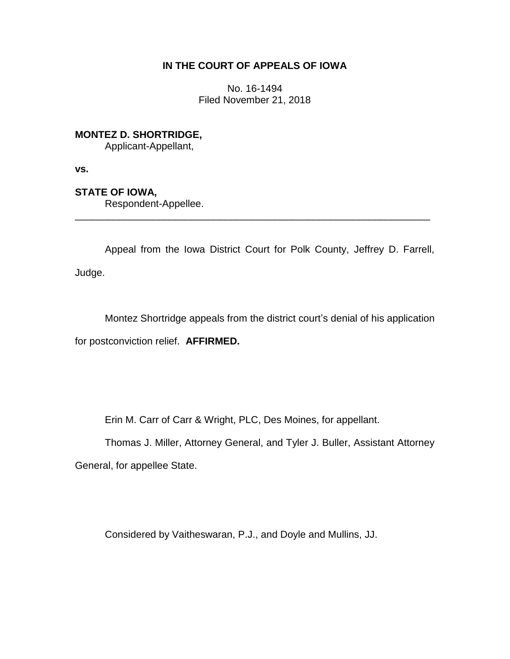# **IN THE COURT OF APPEALS OF IOWA**

No. 16-1494 Filed November 21, 2018

**MONTEZ D. SHORTRIDGE,**

Applicant-Appellant,

**vs.**

**STATE OF IOWA,**

Respondent-Appellee.

Appeal from the Iowa District Court for Polk County, Jeffrey D. Farrell, Judge.

\_\_\_\_\_\_\_\_\_\_\_\_\_\_\_\_\_\_\_\_\_\_\_\_\_\_\_\_\_\_\_\_\_\_\_\_\_\_\_\_\_\_\_\_\_\_\_\_\_\_\_\_\_\_\_\_\_\_\_\_\_\_\_\_

Montez Shortridge appeals from the district court's denial of his application for postconviction relief. **AFFIRMED.**

Erin M. Carr of Carr & Wright, PLC, Des Moines, for appellant.

Thomas J. Miller, Attorney General, and Tyler J. Buller, Assistant Attorney

General, for appellee State.

Considered by Vaitheswaran, P.J., and Doyle and Mullins, JJ.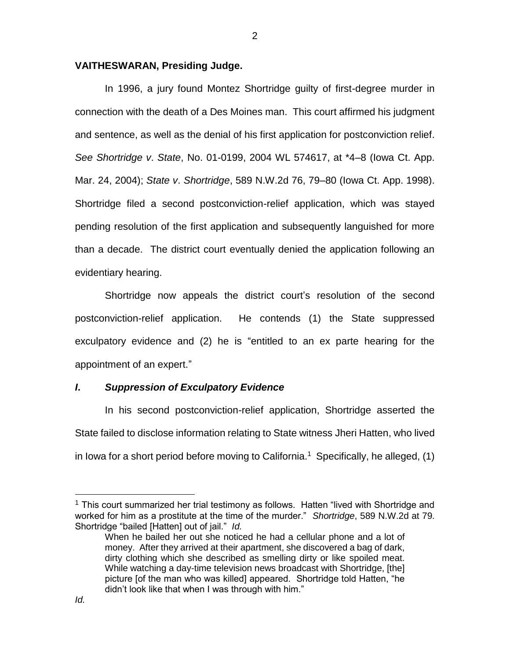### **VAITHESWARAN, Presiding Judge.**

In 1996, a jury found Montez Shortridge guilty of first-degree murder in connection with the death of a Des Moines man. This court affirmed his judgment and sentence, as well as the denial of his first application for postconviction relief. *See Shortridge v*. *State*, No. 01-0199, 2004 WL 574617, at \*4–8 (Iowa Ct. App. Mar. 24, 2004); *State v*. *Shortridge*, 589 N.W.2d 76, 79–80 (Iowa Ct. App. 1998). Shortridge filed a second postconviction-relief application, which was stayed pending resolution of the first application and subsequently languished for more than a decade. The district court eventually denied the application following an evidentiary hearing.

Shortridge now appeals the district court's resolution of the second postconviction-relief application. He contends (1) the State suppressed exculpatory evidence and (2) he is "entitled to an ex parte hearing for the appointment of an expert."

#### *I***.** *Suppression of Exculpatory Evidence*

In his second postconviction-relief application, Shortridge asserted the State failed to disclose information relating to State witness Jheri Hatten, who lived in lowa for a short period before moving to California.<sup>1</sup> Specifically, he alleged,  $(1)$ 

 $\overline{a}$ 

 $1$  This court summarized her trial testimony as follows. Hatten "lived with Shortridge and worked for him as a prostitute at the time of the murder." *Shortridge*, 589 N.W.2d at 79. Shortridge "bailed [Hatten] out of jail." *Id.*

When he bailed her out she noticed he had a cellular phone and a lot of money. After they arrived at their apartment, she discovered a bag of dark, dirty clothing which she described as smelling dirty or like spoiled meat. While watching a day-time television news broadcast with Shortridge, [the] picture [of the man who was killed] appeared. Shortridge told Hatten, "he didn't look like that when I was through with him."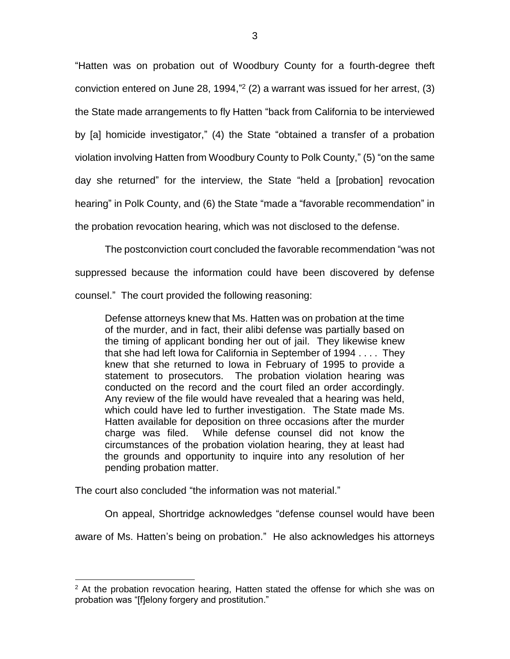"Hatten was on probation out of Woodbury County for a fourth-degree theft conviction entered on June 28, 1994," 2 (2) a warrant was issued for her arrest, (3) the State made arrangements to fly Hatten "back from California to be interviewed by [a] homicide investigator," (4) the State "obtained a transfer of a probation violation involving Hatten from Woodbury County to Polk County," (5) "on the same day she returned" for the interview, the State "held a [probation] revocation hearing" in Polk County, and (6) the State "made a "favorable recommendation" in the probation revocation hearing, which was not disclosed to the defense.

The postconviction court concluded the favorable recommendation "was not suppressed because the information could have been discovered by defense counsel." The court provided the following reasoning:

Defense attorneys knew that Ms. Hatten was on probation at the time of the murder, and in fact, their alibi defense was partially based on the timing of applicant bonding her out of jail. They likewise knew that she had left Iowa for California in September of 1994 . . . . They knew that she returned to Iowa in February of 1995 to provide a statement to prosecutors. The probation violation hearing was conducted on the record and the court filed an order accordingly. Any review of the file would have revealed that a hearing was held, which could have led to further investigation. The State made Ms. Hatten available for deposition on three occasions after the murder charge was filed. While defense counsel did not know the circumstances of the probation violation hearing, they at least had the grounds and opportunity to inquire into any resolution of her pending probation matter.

The court also concluded "the information was not material."

 $\overline{a}$ 

On appeal, Shortridge acknowledges "defense counsel would have been

aware of Ms. Hatten's being on probation." He also acknowledges his attorneys

<sup>&</sup>lt;sup>2</sup> At the probation revocation hearing, Hatten stated the offense for which she was on probation was "[f]elony forgery and prostitution."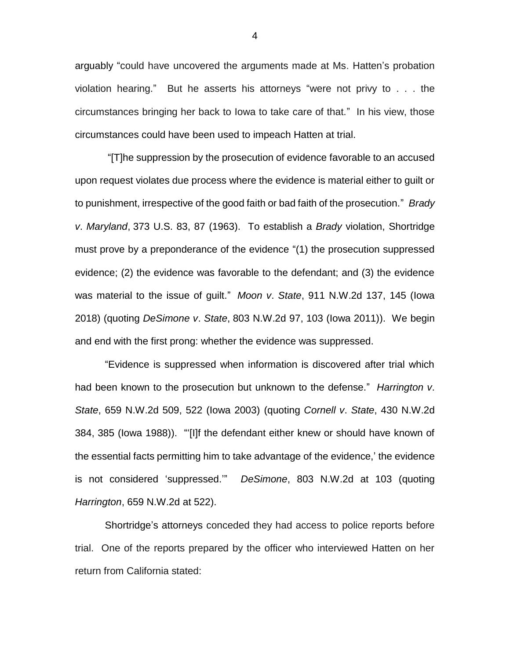arguably "could have uncovered the arguments made at Ms. Hatten's probation violation hearing." But he asserts his attorneys "were not privy to . . . the circumstances bringing her back to Iowa to take care of that." In his view, those circumstances could have been used to impeach Hatten at trial.

"[T]he suppression by the prosecution of evidence favorable to an accused upon request violates due process where the evidence is material either to guilt or to punishment, irrespective of the good faith or bad faith of the prosecution." *Brady v*. *Maryland*, 373 U.S. 83, 87 (1963). To establish a *Brady* violation, Shortridge must prove by a preponderance of the evidence "(1) the prosecution suppressed evidence; (2) the evidence was favorable to the defendant; and (3) the evidence was material to the issue of guilt." *Moon v*. *State*, 911 N.W.2d 137, 145 (Iowa 2018) (quoting *DeSimone v*. *State*, 803 N.W.2d 97, 103 (Iowa 2011)). We begin and end with the first prong: whether the evidence was suppressed.

"Evidence is suppressed when information is discovered after trial which had been known to the prosecution but unknown to the defense." *Harrington v*. *State*, 659 N.W.2d 509, 522 (Iowa 2003) (quoting *Cornell v*. *State*, 430 N.W.2d 384, 385 (Iowa 1988)). "'[I]f the defendant either knew or should have known of the essential facts permitting him to take advantage of the evidence,' the evidence is not considered 'suppressed.'" *DeSimone*, 803 N.W.2d at 103 (quoting *Harrington*, 659 N.W.2d at 522).

Shortridge's attorneys conceded they had access to police reports before trial. One of the reports prepared by the officer who interviewed Hatten on her return from California stated:

4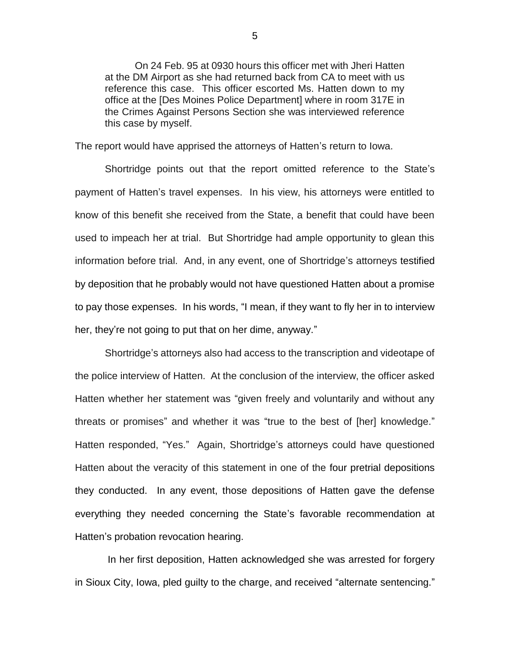On 24 Feb. 95 at 0930 hours this officer met with Jheri Hatten at the DM Airport as she had returned back from CA to meet with us reference this case. This officer escorted Ms. Hatten down to my office at the [Des Moines Police Department] where in room 317E in the Crimes Against Persons Section she was interviewed reference this case by myself.

The report would have apprised the attorneys of Hatten's return to Iowa.

Shortridge points out that the report omitted reference to the State's payment of Hatten's travel expenses. In his view, his attorneys were entitled to know of this benefit she received from the State, a benefit that could have been used to impeach her at trial. But Shortridge had ample opportunity to glean this information before trial. And, in any event, one of Shortridge's attorneys testified by deposition that he probably would not have questioned Hatten about a promise to pay those expenses. In his words, "I mean, if they want to fly her in to interview her, they're not going to put that on her dime, anyway."

Shortridge's attorneys also had access to the transcription and videotape of the police interview of Hatten. At the conclusion of the interview, the officer asked Hatten whether her statement was "given freely and voluntarily and without any threats or promises" and whether it was "true to the best of [her] knowledge." Hatten responded, "Yes." Again, Shortridge's attorneys could have questioned Hatten about the veracity of this statement in one of the four pretrial depositions they conducted. In any event, those depositions of Hatten gave the defense everything they needed concerning the State's favorable recommendation at Hatten's probation revocation hearing.

In her first deposition, Hatten acknowledged she was arrested for forgery in Sioux City, Iowa, pled guilty to the charge, and received "alternate sentencing."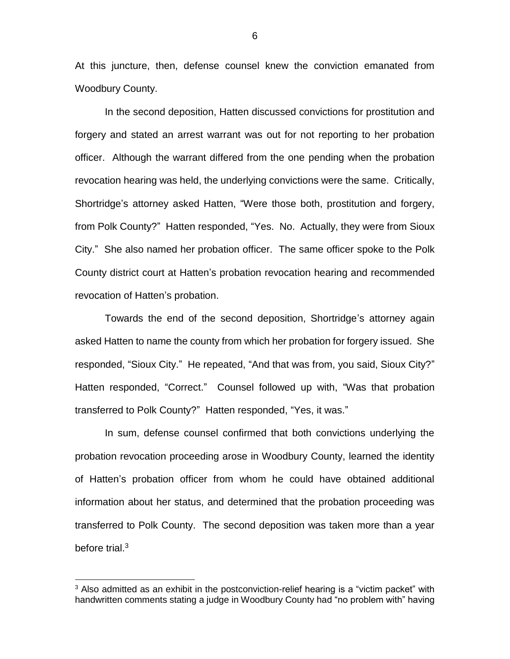At this juncture, then, defense counsel knew the conviction emanated from Woodbury County.

In the second deposition, Hatten discussed convictions for prostitution and forgery and stated an arrest warrant was out for not reporting to her probation officer. Although the warrant differed from the one pending when the probation revocation hearing was held, the underlying convictions were the same. Critically, Shortridge's attorney asked Hatten, "Were those both, prostitution and forgery, from Polk County?" Hatten responded, "Yes. No. Actually, they were from Sioux City." She also named her probation officer. The same officer spoke to the Polk County district court at Hatten's probation revocation hearing and recommended revocation of Hatten's probation.

Towards the end of the second deposition, Shortridge's attorney again asked Hatten to name the county from which her probation for forgery issued. She responded, "Sioux City." He repeated, "And that was from, you said, Sioux City?" Hatten responded, "Correct." Counsel followed up with, "Was that probation transferred to Polk County?" Hatten responded, "Yes, it was."

In sum, defense counsel confirmed that both convictions underlying the probation revocation proceeding arose in Woodbury County, learned the identity of Hatten's probation officer from whom he could have obtained additional information about her status, and determined that the probation proceeding was transferred to Polk County. The second deposition was taken more than a year before trial.<sup>3</sup>

 $\overline{a}$ 

 $3$  Also admitted as an exhibit in the postconviction-relief hearing is a "victim packet" with handwritten comments stating a judge in Woodbury County had "no problem with" having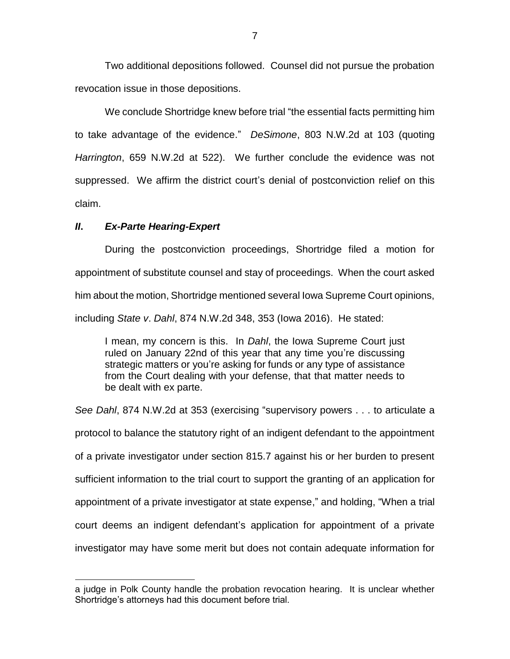Two additional depositions followed. Counsel did not pursue the probation revocation issue in those depositions.

We conclude Shortridge knew before trial "the essential facts permitting him to take advantage of the evidence." *DeSimone*, 803 N.W.2d at 103 (quoting *Harrington*, 659 N.W.2d at 522). We further conclude the evidence was not suppressed. We affirm the district court's denial of postconviction relief on this claim.

## *II***.** *Ex-Parte Hearing-Expert*

 $\overline{a}$ 

During the postconviction proceedings, Shortridge filed a motion for appointment of substitute counsel and stay of proceedings. When the court asked him about the motion, Shortridge mentioned several Iowa Supreme Court opinions, including *State v*. *Dahl*, 874 N.W.2d 348, 353 (Iowa 2016). He stated:

I mean, my concern is this. In *Dahl*, the Iowa Supreme Court just ruled on January 22nd of this year that any time you're discussing strategic matters or you're asking for funds or any type of assistance from the Court dealing with your defense, that that matter needs to be dealt with ex parte.

*See Dahl*, 874 N.W.2d at 353 (exercising "supervisory powers . . . to articulate a protocol to balance the statutory right of an indigent defendant to the appointment of a private investigator under section 815.7 against his or her burden to present sufficient information to the trial court to support the granting of an application for appointment of a private investigator at state expense," and holding, "When a trial court deems an indigent defendant's application for appointment of a private investigator may have some merit but does not contain adequate information for

a judge in Polk County handle the probation revocation hearing. It is unclear whether Shortridge's attorneys had this document before trial.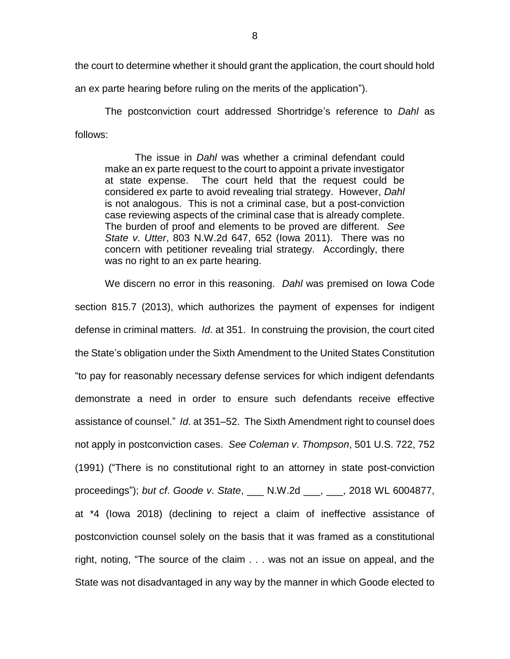the court to determine whether it should grant the application, the court should hold

an ex parte hearing before ruling on the merits of the application").

The postconviction court addressed Shortridge's reference to *Dahl* as follows:

The issue in *Dahl* was whether a criminal defendant could make an ex parte request to the court to appoint a private investigator at state expense. The court held that the request could be considered ex parte to avoid revealing trial strategy. However, *Dahl* is not analogous. This is not a criminal case, but a post-conviction case reviewing aspects of the criminal case that is already complete. The burden of proof and elements to be proved are different. *See State v*. *Utter*, 803 N.W.2d 647, 652 (Iowa 2011). There was no concern with petitioner revealing trial strategy. Accordingly, there was no right to an ex parte hearing.

We discern no error in this reasoning.*Dahl* was premised on Iowa Code section 815.7 (2013), which authorizes the payment of expenses for indigent defense in criminal matters. *Id*. at 351. In construing the provision, the court cited the State's obligation under the Sixth Amendment to the United States Constitution "to pay for reasonably necessary defense services for which indigent defendants demonstrate a need in order to ensure such defendants receive effective assistance of counsel." *Id*. at 351–52. The Sixth Amendment right to counsel does not apply in postconviction cases. *See Coleman v*. *Thompson*, 501 U.S. 722, 752 (1991) ("There is no constitutional right to an attorney in state post-conviction proceedings"); *but cf*. *Goode v*. *State*, \_\_\_ N.W.2d \_\_\_, \_\_\_, 2018 WL 6004877, at \*4 (Iowa 2018) (declining to reject a claim of ineffective assistance of postconviction counsel solely on the basis that it was framed as a constitutional right, noting, "The source of the claim . . . was not an issue on appeal, and the State was not disadvantaged in any way by the manner in which Goode elected to